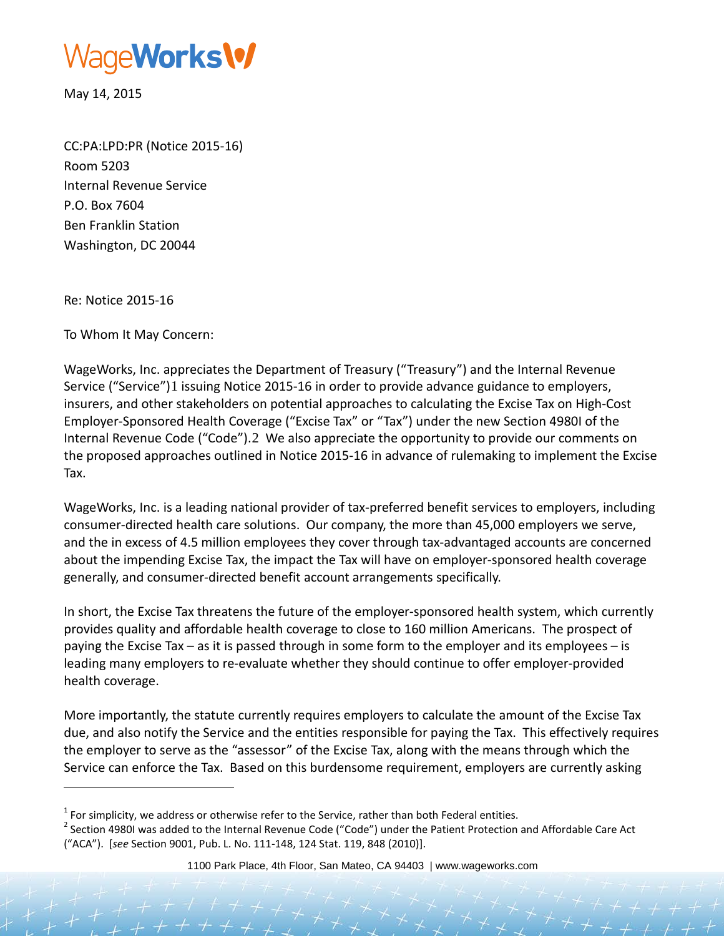

May 14, 2015

CC:PA:LPD:PR (Notice 2015-16) Room 5203 Internal Revenue Service P.O. Box 7604 Ben Franklin Station Washington, DC 20044

Re: Notice 2015-16

j

To Whom It May Concern:

WageWorks, Inc. appreciates the Department of Treasury ("Treasury") and the Internal Revenue Service ("Service")[1](#page-0-0) issuing Notice 2015-16 in order to provide advance guidance to employers, insurers, and other stakeholders on potential approaches to calculating the Excise Tax on High-Cost Employer-Sponsored Health Coverage ("Excise Tax" or "Tax") under the new Section 4980I of the Internal Revenue Code ("Code").[2](#page-0-1) We also appreciate the opportunity to provide our comments on the proposed approaches outlined in Notice 2015-16 in advance of rulemaking to implement the Excise Tax.

WageWorks, Inc. is a leading national provider of tax-preferred benefit services to employers, including consumer-directed health care solutions. Our company, the more than 45,000 employers we serve, and the in excess of 4.5 million employees they cover through tax-advantaged accounts are concerned about the impending Excise Tax, the impact the Tax will have on employer-sponsored health coverage generally, and consumer-directed benefit account arrangements specifically.

In short, the Excise Tax threatens the future of the employer-sponsored health system, which currently provides quality and affordable health coverage to close to 160 million Americans. The prospect of paying the Excise Tax – as it is passed through in some form to the employer and its employees – is leading many employers to re-evaluate whether they should continue to offer employer-provided health coverage.

More importantly, the statute currently requires employers to calculate the amount of the Excise Tax due, and also notify the Service and the entities responsible for paying the Tax. This effectively requires the employer to serve as the "assessor" of the Excise Tax, along with the means through which the Service can enforce the Tax. Based on this burdensome requirement, employers are currently asking

<span id="page-0-0"></span> $<sup>1</sup>$  For simplicity, we address or otherwise refer to the Service, rather than both Federal entities.</sup>

<span id="page-0-1"></span><sup>&</sup>lt;sup>2</sup> Section 4980I was added to the Internal Revenue Code ("Code") under the Patient Protection and Affordable Care Act ("ACA"). [*see* Section 9001, Pub. L. No. 111-148, 124 Stat. 119, 848 (2010)].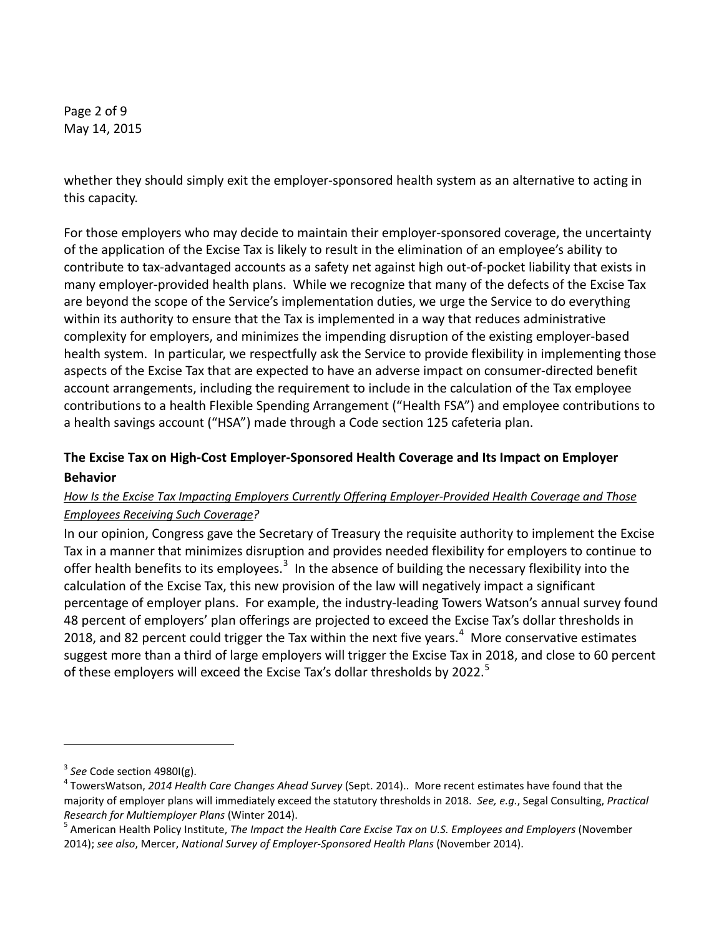Page 2 of 9 May 14, 2015

whether they should simply exit the employer-sponsored health system as an alternative to acting in this capacity.

For those employers who may decide to maintain their employer-sponsored coverage, the uncertainty of the application of the Excise Tax is likely to result in the elimination of an employee's ability to contribute to tax-advantaged accounts as a safety net against high out-of-pocket liability that exists in many employer-provided health plans. While we recognize that many of the defects of the Excise Tax are beyond the scope of the Service's implementation duties, we urge the Service to do everything within its authority to ensure that the Tax is implemented in a way that reduces administrative complexity for employers, and minimizes the impending disruption of the existing employer-based health system. In particular, we respectfully ask the Service to provide flexibility in implementing those aspects of the Excise Tax that are expected to have an adverse impact on consumer-directed benefit account arrangements, including the requirement to include in the calculation of the Tax employee contributions to a health Flexible Spending Arrangement ("Health FSA") and employee contributions to a health savings account ("HSA") made through a Code section 125 cafeteria plan.

# **The Excise Tax on High-Cost Employer-Sponsored Health Coverage and Its Impact on Employer Behavior**

### *How Is the Excise Tax Impacting Employers Currently Offering Employer-Provided Health Coverage and Those Employees Receiving Such Coverage?*

In our opinion, Congress gave the Secretary of Treasury the requisite authority to implement the Excise Tax in a manner that minimizes disruption and provides needed flexibility for employers to continue to offer health benefits to its employees.<sup>[3](#page-1-0)</sup> In the absence of building the necessary flexibility into the calculation of the Excise Tax, this new provision of the law will negatively impact a significant percentage of employer plans. For example, the industry-leading Towers Watson's annual survey found 48 percent of employers' plan offerings are projected to exceed the Excise Tax's dollar thresholds in 2018, and 82 percent could trigger the Tax within the next five years. $4\,$  $4\,$  More conservative estimates suggest more than a third of large employers will trigger the Excise Tax in 2018, and close to 60 percent of these employers will exceed the Excise Tax's dollar thresholds by 2022.<sup>[5](#page-1-2)</sup>

<span id="page-1-1"></span><span id="page-1-0"></span><sup>&</sup>lt;sup>3</sup> See Code section 4980I(g).<br><sup>4</sup> TowersWatson, *2014 Health Care Changes Ahead Survey* (Sept. 2014).. More recent estimates have found that the majority of employer plans will immediately exceed the statutory thresholds in 2018. *See, e.g.*, Segal Consulting, *Practical Research for Multiemployer Plans* (Winter 2014).<br><sup>5</sup> American Health Policy Institute, *The Impact the Health Care Excise Tax on U.S. Employees and Employers* (November

<span id="page-1-2"></span><sup>2014);</sup> *see also*, Mercer, *National Survey of Employer-Sponsored Health Plans* (November 2014).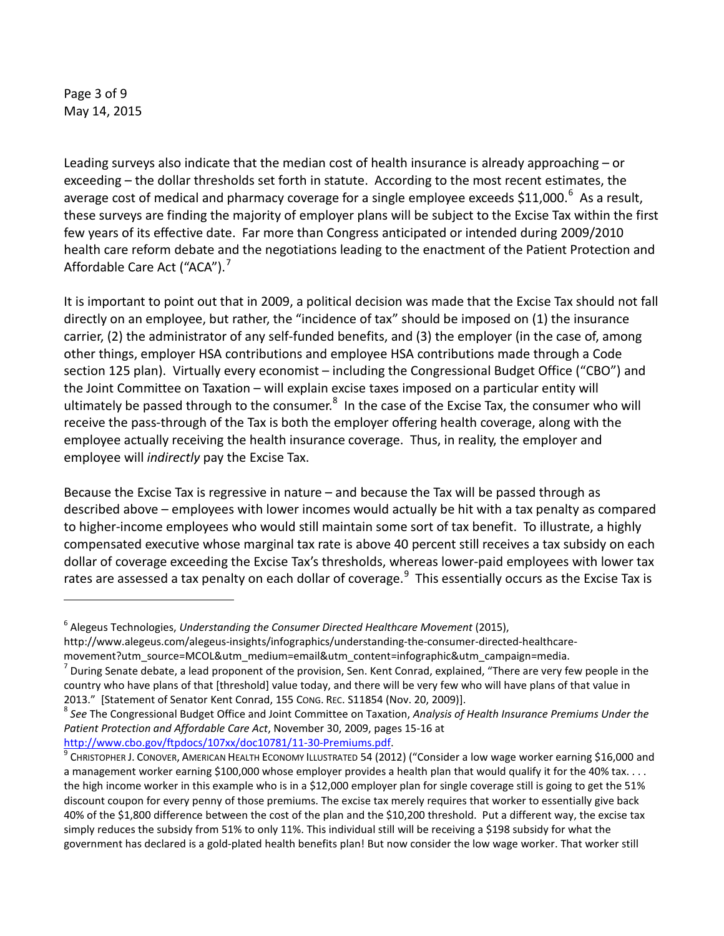Page 3 of 9 May 14, 2015

j

Leading surveys also indicate that the median cost of health insurance is already approaching – or exceeding – the dollar thresholds set forth in statute. According to the most recent estimates, the average cost of medical and pharmacy coverage for a single employee exceeds \$11,000.<sup>[6](#page-2-0)</sup> As a result, these surveys are finding the majority of employer plans will be subject to the Excise Tax within the first few years of its effective date. Far more than Congress anticipated or intended during 2009/2010 health care reform debate and the negotiations leading to the enactment of the Patient Protection and Affordable Care Act ("ACA").<sup>[7](#page-2-1)</sup>

It is important to point out that in 2009, a political decision was made that the Excise Tax should not fall directly on an employee, but rather, the "incidence of tax" should be imposed on (1) the insurance carrier, (2) the administrator of any self-funded benefits, and (3) the employer (in the case of, among other things, employer HSA contributions and employee HSA contributions made through a Code section 125 plan). Virtually every economist – including the Congressional Budget Office ("CBO") and the Joint Committee on Taxation – will explain excise taxes imposed on a particular entity will ultimately be passed through to the consumer.<sup>[8](#page-2-2)</sup> In the case of the Excise Tax, the consumer who will receive the pass-through of the Tax is both the employer offering health coverage, along with the employee actually receiving the health insurance coverage. Thus, in reality, the employer and employee will *indirectly* pay the Excise Tax.

Because the Excise Tax is regressive in nature – and because the Tax will be passed through as described above – employees with lower incomes would actually be hit with a tax penalty as compared to higher-income employees who would still maintain some sort of tax benefit. To illustrate, a highly compensated executive whose marginal tax rate is above 40 percent still receives a tax subsidy on each dollar of coverage exceeding the Excise Tax's thresholds, whereas lower-paid employees with lower tax rates are assessed a tax penalty on each dollar of coverage.<sup>[9](#page-2-3)</sup> This essentially occurs as the Excise Tax is

<span id="page-2-0"></span><sup>6</sup> Alegeus Technologies, *Understanding the Consumer Directed Healthcare Movement* (2015), http://www.alegeus.com/alegeus-insights/infographics/understanding-the-consumer-directed-healthcare-

movement?utm\_source=MCOL&utm\_medium=email&utm\_content=infographic&utm\_campaign=media.

<span id="page-2-1"></span> $'$  During Senate debate, a lead proponent of the provision, Sen. Kent Conrad, explained, "There are very few people in the country who have plans of that [threshold] value today, and there will be very few who will have plans of that value in 2013." [Statement of Senator Kent Conrad, 155 Cong. Rec. S11854 (Nov. 20, 2009)].<br><sup>8</sup> See The Congressional Budget Office and Joint Committee on Taxation, *Analysis of Health Insurance Premiums Under the* 

<span id="page-2-2"></span>*Patient Protection and Affordable Care Act*, November 30, 2009, pages 15-16 at

<span id="page-2-3"></span>[http://www.cbo.gov/ftpdocs/107xx/doc10781/11-30-Premiums.pdf.](http://www.cbo.gov/ftpdocs/107xx/doc10781/11-30-Premiums.pdf)<br><sup>[9](http://www.cbo.gov/ftpdocs/107xx/doc10781/11-30-Premiums.pdf)</sup> CHRISTOPHER J. CONOVER, AMERICAN HEALTH ECONOMY ILLUSTRATED 54 (2012) ("Consider a low wage worker earning \$16,000 and a management worker earning \$100,000 whose employer provides a health plan that would qualify it for the 40% tax.... the high income worker in this example who is in a \$12,000 employer plan for single coverage still is going to get the 51% discount coupon for every penny of those premiums. The excise tax merely requires that worker to essentially give back 40% of the \$1,800 difference between the cost of the plan and the \$10,200 threshold. Put a different way, the excise tax simply reduces the subsidy from 51% to only 11%. This individual still will be receiving a \$198 subsidy for what the government has declared is a gold-plated health benefits plan! But now consider the low wage worker. That worker still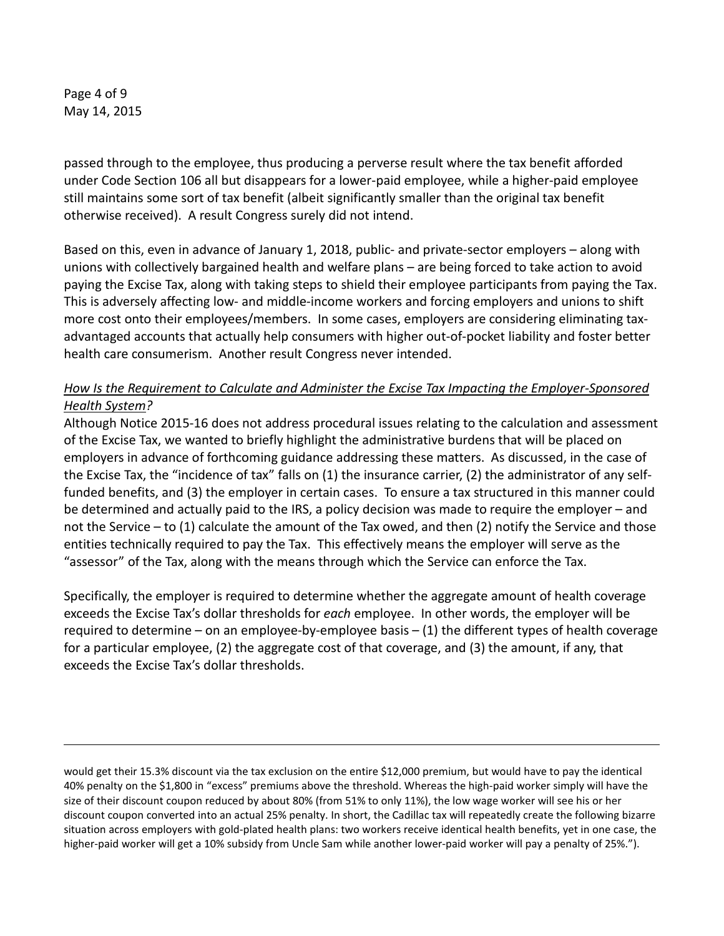Page 4 of 9 May 14, 2015

j

passed through to the employee, thus producing a perverse result where the tax benefit afforded under Code Section 106 all but disappears for a lower-paid employee, while a higher-paid employee still maintains some sort of tax benefit (albeit significantly smaller than the original tax benefit otherwise received). A result Congress surely did not intend.

Based on this, even in advance of January 1, 2018, public- and private-sector employers – along with unions with collectively bargained health and welfare plans – are being forced to take action to avoid paying the Excise Tax, along with taking steps to shield their employee participants from paying the Tax. This is adversely affecting low- and middle-income workers and forcing employers and unions to shift more cost onto their employees/members. In some cases, employers are considering eliminating taxadvantaged accounts that actually help consumers with higher out-of-pocket liability and foster better health care consumerism. Another result Congress never intended.

#### *How Is the Requirement to Calculate and Administer the Excise Tax Impacting the Employer-Sponsored Health System?*

Although Notice 2015-16 does not address procedural issues relating to the calculation and assessment of the Excise Tax, we wanted to briefly highlight the administrative burdens that will be placed on employers in advance of forthcoming guidance addressing these matters. As discussed, in the case of the Excise Tax, the "incidence of tax" falls on (1) the insurance carrier, (2) the administrator of any selffunded benefits, and (3) the employer in certain cases. To ensure a tax structured in this manner could be determined and actually paid to the IRS, a policy decision was made to require the employer – and not the Service – to (1) calculate the amount of the Tax owed, and then (2) notify the Service and those entities technically required to pay the Tax. This effectively means the employer will serve as the "assessor" of the Tax, along with the means through which the Service can enforce the Tax.

Specifically, the employer is required to determine whether the aggregate amount of health coverage exceeds the Excise Tax's dollar thresholds for *each* employee. In other words, the employer will be required to determine – on an employee-by-employee basis – (1) the different types of health coverage for a particular employee, (2) the aggregate cost of that coverage, and (3) the amount, if any, that exceeds the Excise Tax's dollar thresholds.

would get their 15.3% discount via the tax exclusion on the entire \$12,000 premium, but would have to pay the identical 40% penalty on the \$1,800 in "excess" premiums above the threshold. Whereas the high-paid worker simply will have the size of their discount coupon reduced by about 80% (from 51% to only 11%), the low wage worker will see his or her discount coupon converted into an actual 25% penalty. In short, the Cadillac tax will repeatedly create the following bizarre situation across employers with gold-plated health plans: two workers receive identical health benefits, yet in one case, the higher-paid worker will get a 10% subsidy from Uncle Sam while another lower-paid worker will pay a penalty of 25%.").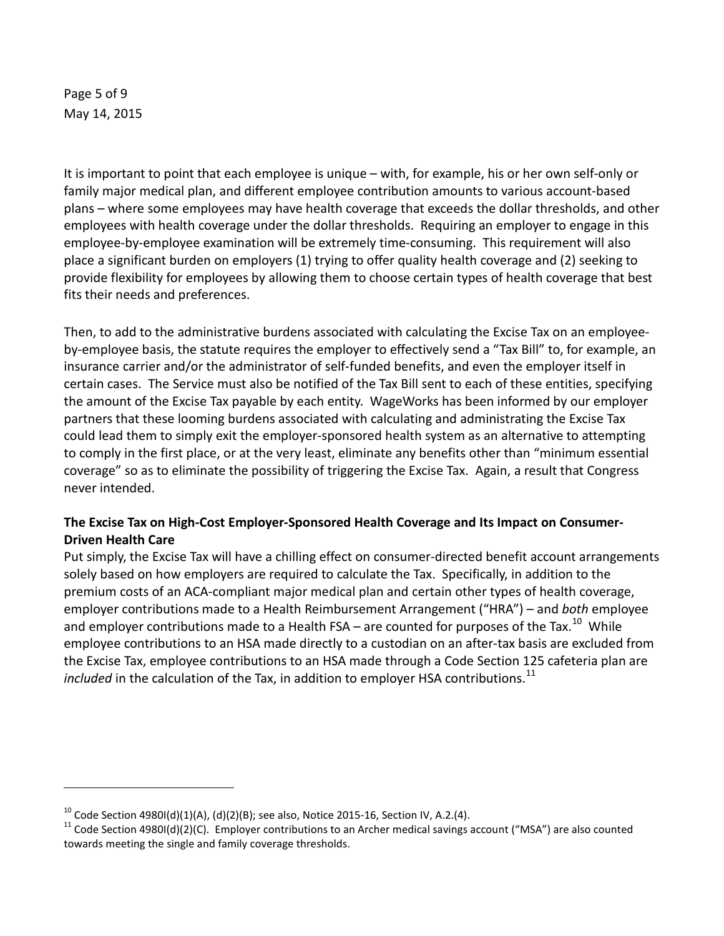Page 5 of 9 May 14, 2015

j

It is important to point that each employee is unique – with, for example, his or her own self-only or family major medical plan, and different employee contribution amounts to various account-based plans – where some employees may have health coverage that exceeds the dollar thresholds, and other employees with health coverage under the dollar thresholds. Requiring an employer to engage in this employee-by-employee examination will be extremely time-consuming. This requirement will also place a significant burden on employers (1) trying to offer quality health coverage and (2) seeking to provide flexibility for employees by allowing them to choose certain types of health coverage that best fits their needs and preferences.

Then, to add to the administrative burdens associated with calculating the Excise Tax on an employeeby-employee basis, the statute requires the employer to effectively send a "Tax Bill" to, for example, an insurance carrier and/or the administrator of self-funded benefits, and even the employer itself in certain cases. The Service must also be notified of the Tax Bill sent to each of these entities, specifying the amount of the Excise Tax payable by each entity. WageWorks has been informed by our employer partners that these looming burdens associated with calculating and administrating the Excise Tax could lead them to simply exit the employer-sponsored health system as an alternative to attempting to comply in the first place, or at the very least, eliminate any benefits other than "minimum essential coverage" so as to eliminate the possibility of triggering the Excise Tax. Again, a result that Congress never intended.

### **The Excise Tax on High-Cost Employer-Sponsored Health Coverage and Its Impact on Consumer-Driven Health Care**

Put simply, the Excise Tax will have a chilling effect on consumer-directed benefit account arrangements solely based on how employers are required to calculate the Tax. Specifically, in addition to the premium costs of an ACA-compliant major medical plan and certain other types of health coverage, employer contributions made to a Health Reimbursement Arrangement ("HRA") – and *both* employee and employer contributions made to a Health FSA – are counted for purposes of the Tax.<sup>[10](#page-4-0)</sup> While employee contributions to an HSA made directly to a custodian on an after-tax basis are excluded from the Excise Tax, employee contributions to an HSA made through a Code Section 125 cafeteria plan are *included* in the calculation of the Tax, in addition to employer HSA contributions.<sup>[11](#page-4-1)</sup>

<span id="page-4-1"></span><span id="page-4-0"></span>

<sup>&</sup>lt;sup>10</sup> Code Section 4980I(d)(1)(A), (d)(2)(B); see also, Notice 2015-16, Section IV, A.2.(4).<br><sup>11</sup> Code Section 4980I(d)(2)(C). Employer contributions to an Archer medical savings account ("MSA") are also counted towards meeting the single and family coverage thresholds.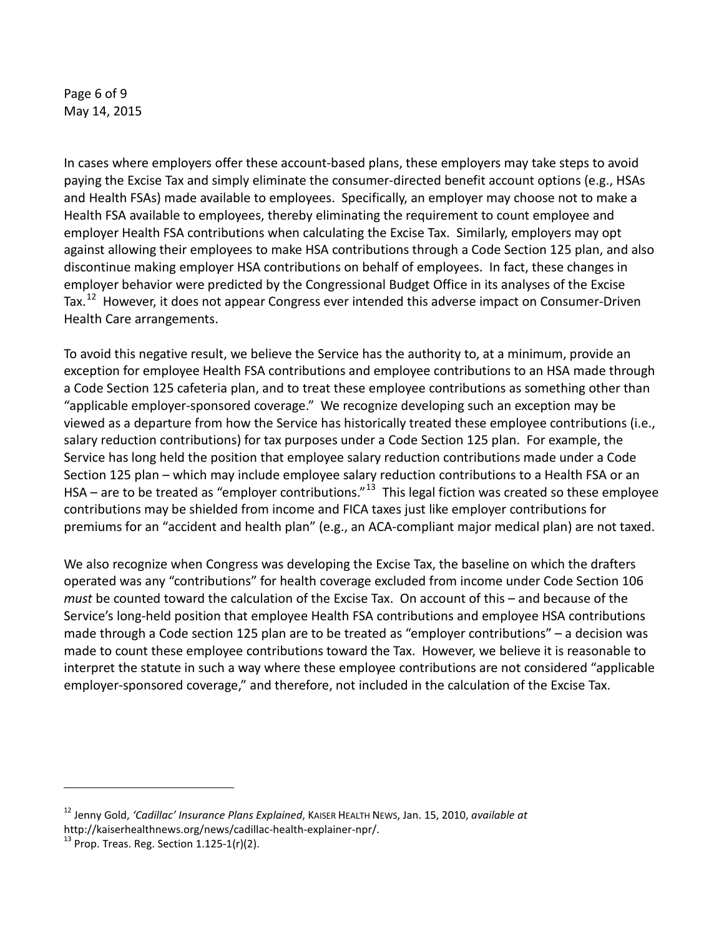Page 6 of 9 May 14, 2015

In cases where employers offer these account-based plans, these employers may take steps to avoid paying the Excise Tax and simply eliminate the consumer-directed benefit account options (e.g., HSAs and Health FSAs) made available to employees. Specifically, an employer may choose not to make a Health FSA available to employees, thereby eliminating the requirement to count employee and employer Health FSA contributions when calculating the Excise Tax. Similarly, employers may opt against allowing their employees to make HSA contributions through a Code Section 125 plan, and also discontinue making employer HSA contributions on behalf of employees. In fact, these changes in employer behavior were predicted by the Congressional Budget Office in its analyses of the Excise Tax.<sup>[12](#page-5-0)</sup> However, it does not appear Congress ever intended this adverse impact on Consumer-Driven Health Care arrangements.

To avoid this negative result, we believe the Service has the authority to, at a minimum, provide an exception for employee Health FSA contributions and employee contributions to an HSA made through a Code Section 125 cafeteria plan, and to treat these employee contributions as something other than "applicable employer-sponsored coverage." We recognize developing such an exception may be viewed as a departure from how the Service has historically treated these employee contributions (i.e., salary reduction contributions) for tax purposes under a Code Section 125 plan. For example, the Service has long held the position that employee salary reduction contributions made under a Code Section 125 plan – which may include employee salary reduction contributions to a Health FSA or an HSA – are to be treated as "employer contributions."<sup>13</sup> This legal fiction was created so these employee contributions may be shielded from income and FICA taxes just like employer contributions for premiums for an "accident and health plan" (e.g., an ACA-compliant major medical plan) are not taxed.

We also recognize when Congress was developing the Excise Tax, the baseline on which the drafters operated was any "contributions" for health coverage excluded from income under Code Section 106 *must* be counted toward the calculation of the Excise Tax. On account of this – and because of the Service's long-held position that employee Health FSA contributions and employee HSA contributions made through a Code section 125 plan are to be treated as "employer contributions" – a decision was made to count these employee contributions toward the Tax. However, we believe it is reasonable to interpret the statute in such a way where these employee contributions are not considered "applicable employer-sponsored coverage," and therefore, not included in the calculation of the Excise Tax.

<span id="page-5-0"></span><sup>12</sup> Jenny Gold, *'Cadillac' Insurance Plans Explained*, KAISER HEALTH NEWS, Jan. 15, 2010, *available at* http://kaiserhealthnews.org/news/cadillac-health-explainer-npr/.<br><sup>13</sup> Prop. Treas. Reg. Section 1.125-1(r)(2).

<span id="page-5-1"></span>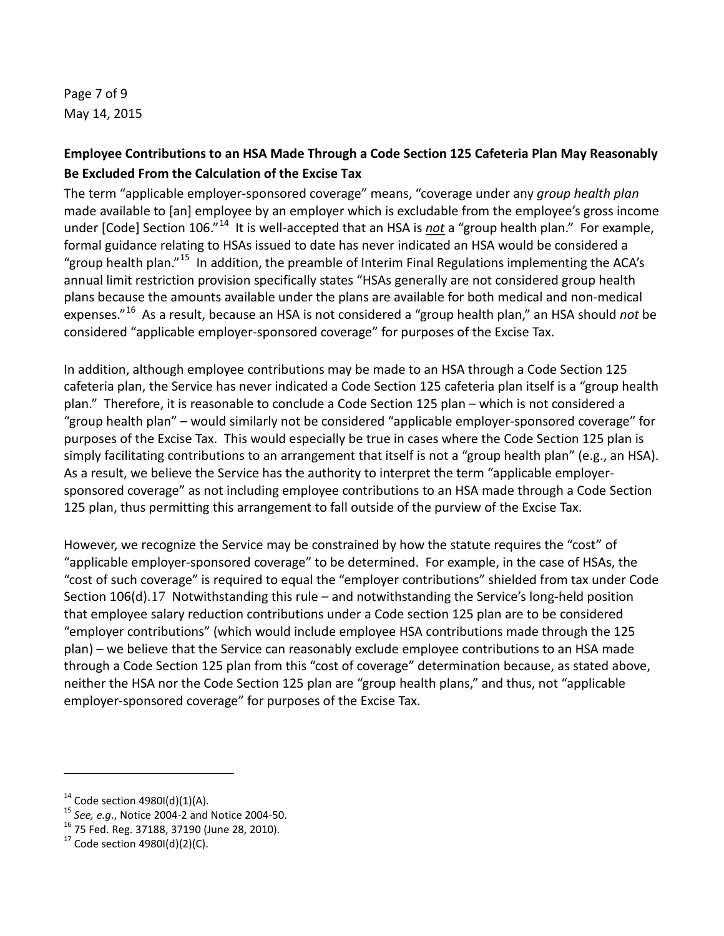Page 7 of 9 May 14, 2015

# **Employee Contributions to an HSA Made Through a Code Section 125 Cafeteria Plan May Reasonably Be Excluded From the Calculation of the Excise Tax**

The term "applicable employer-sponsored coverage" means, "coverage under any *group health plan* made available to [an] employee by an employer which is excludable from the employee's gross income under [Code] Section 106."<sup>14</sup> It is well-accepted that an HSA is *not* a "group health plan." For example, formal guidance relating to HSAs issued to date has never indicated an HSA would be considered a "group health plan."<sup>15</sup> In addition, the preamble of Interim Final Regulations implementing the ACA's annual limit restriction provision specifically states "HSAs generally are not considered group health plans because the amounts available under the plans are available for both medical and non-medical expenses."[16](#page-6-2) As a result, because an HSA is not considered a "group health plan," an HSA should *not* be considered "applicable employer-sponsored coverage" for purposes of the Excise Tax.

In addition, although employee contributions may be made to an HSA through a Code Section 125 cafeteria plan, the Service has never indicated a Code Section 125 cafeteria plan itself is a "group health plan." Therefore, it is reasonable to conclude a Code Section 125 plan – which is not considered a "group health plan" – would similarly not be considered "applicable employer-sponsored coverage" for purposes of the Excise Tax. This would especially be true in cases where the Code Section 125 plan is simply facilitating contributions to an arrangement that itself is not a "group health plan" (e.g., an HSA). As a result, we believe the Service has the authority to interpret the term "applicable employersponsored coverage" as not including employee contributions to an HSA made through a Code Section 125 plan, thus permitting this arrangement to fall outside of the purview of the Excise Tax.

However, we recognize the Service may be constrained by how the statute requires the "cost" of "applicable employer-sponsored coverage" to be determined. For example, in the case of HSAs, the "cost of such coverage" is required to equal the "employer contributions" shielded from tax under Code Section 106(d).[17](#page-6-3) Notwithstanding this rule – and notwithstanding the Service's long-held position that employee salary reduction contributions under a Code section 125 plan are to be considered "employer contributions" (which would include employee HSA contributions made through the 125 plan) – we believe that the Service can reasonably exclude employee contributions to an HSA made through a Code Section 125 plan from this "cost of coverage" determination because, as stated above, neither the HSA nor the Code Section 125 plan are "group health plans," and thus, not "applicable employer-sponsored coverage" for purposes of the Excise Tax.

<span id="page-6-1"></span><span id="page-6-0"></span><sup>&</sup>lt;sup>14</sup> Code section 4980I(d)(1)(A).<br><sup>15</sup> *See, e.g.*, Notice 2004-2 and Notice 2004-50.<br><sup>16</sup> 75 Fed. Reg. 37188, 37190 (June 28, 2010).<br><sup>17</sup> Code section 4980I(d)(2)(C).

<span id="page-6-2"></span>

<span id="page-6-3"></span>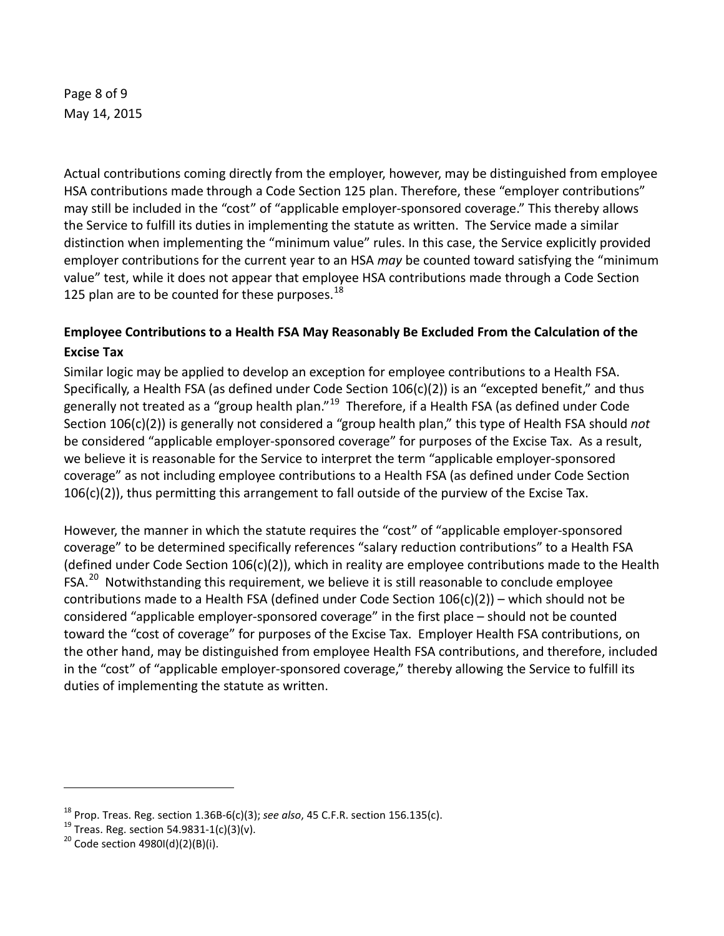Page 8 of 9 May 14, 2015

Actual contributions coming directly from the employer, however, may be distinguished from employee HSA contributions made through a Code Section 125 plan. Therefore, these "employer contributions" may still be included in the "cost" of "applicable employer-sponsored coverage." This thereby allows the Service to fulfill its duties in implementing the statute as written. The Service made a similar distinction when implementing the "minimum value" rules. In this case, the Service explicitly provided employer contributions for the current year to an HSA *may* be counted toward satisfying the "minimum value" test, while it does not appear that employee HSA contributions made through a Code Section 125 plan are to be counted for these purposes. $^{18}$  $^{18}$  $^{18}$ 

# **Employee Contributions to a Health FSA May Reasonably Be Excluded From the Calculation of the Excise Tax**

Similar logic may be applied to develop an exception for employee contributions to a Health FSA. Specifically, a Health FSA (as defined under Code Section 106(c)(2)) is an "excepted benefit," and thus generally not treated as a "group health plan."<sup>[19](#page-7-1)</sup> Therefore, if a Health FSA (as defined under Code Section 106(c)(2)) is generally not considered a "group health plan," this type of Health FSA should *not* be considered "applicable employer-sponsored coverage" for purposes of the Excise Tax. As a result, we believe it is reasonable for the Service to interpret the term "applicable employer-sponsored coverage" as not including employee contributions to a Health FSA (as defined under Code Section 106(c)(2)), thus permitting this arrangement to fall outside of the purview of the Excise Tax.

However, the manner in which the statute requires the "cost" of "applicable employer-sponsored coverage" to be determined specifically references "salary reduction contributions" to a Health FSA (defined under Code Section 106(c)(2)), which in reality are employee contributions made to the Health FSA.<sup>20</sup> Notwithstanding this requirement, we believe it is still reasonable to conclude employee contributions made to a Health FSA (defined under Code Section 106(c)(2)) – which should not be considered "applicable employer-sponsored coverage" in the first place – should not be counted toward the "cost of coverage" for purposes of the Excise Tax. Employer Health FSA contributions, on the other hand, may be distinguished from employee Health FSA contributions, and therefore, included in the "cost" of "applicable employer-sponsored coverage," thereby allowing the Service to fulfill its duties of implementing the statute as written.

<span id="page-7-1"></span><span id="page-7-0"></span><sup>&</sup>lt;sup>18</sup> Prop. Treas. Reg. section 1.36B-6(c)(3); *see also*, 45 C.F.R. section 156.135(c).<br><sup>19</sup> Treas. Reg. section 54.9831-1(c)(3)(v).<br><sup>20</sup> Code section 4980I(d)(2)(B)(i).

<span id="page-7-2"></span>